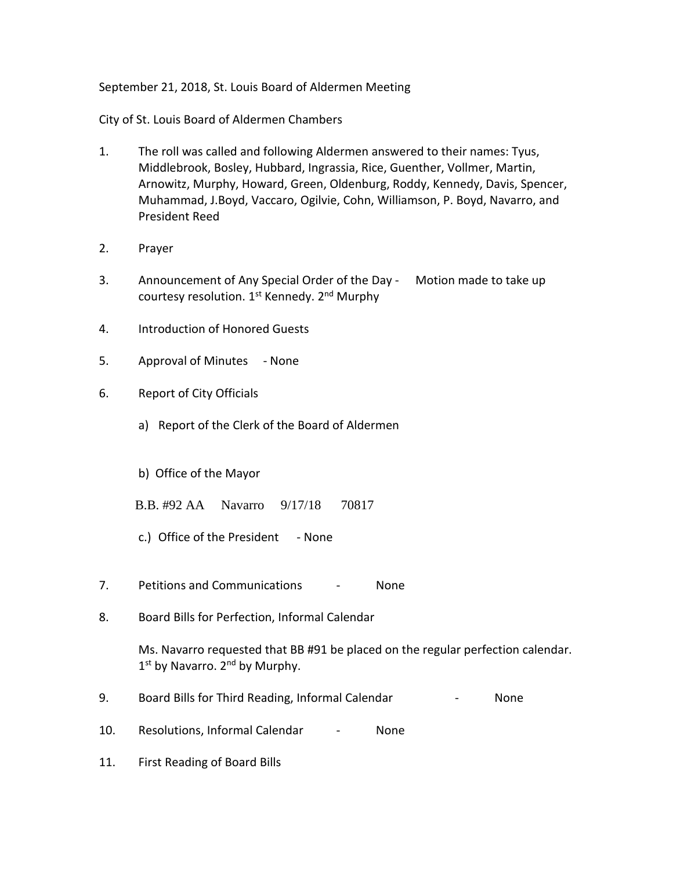September 21, 2018, St. Louis Board of Aldermen Meeting

City of St. Louis Board of Aldermen Chambers

- 1. The roll was called and following Aldermen answered to their names: Tyus, Middlebrook, Bosley, Hubbard, Ingrassia, Rice, Guenther, Vollmer, Martin, Arnowitz, Murphy, Howard, Green, Oldenburg, Roddy, Kennedy, Davis, Spencer, Muhammad, J.Boyd, Vaccaro, Ogilvie, Cohn, Williamson, P. Boyd, Navarro, and President Reed
- 2. Prayer
- 3. Announcement of Any Special Order of the Day Motion made to take up courtesy resolution. 1<sup>st</sup> Kennedy. 2<sup>nd</sup> Murphy
- 4. Introduction of Honored Guests
- 5. Approval of Minutes None
- 6. Report of City Officials
	- a) Report of the Clerk of the Board of Aldermen
	- b) Office of the Mayor
	- B.B. #92 AA Navarro 9/17/18 70817
	- c.) Office of the President None
- 7. Petitions and Communications None
- 8. Board Bills for Perfection, Informal Calendar

Ms. Navarro requested that BB #91 be placed on the regular perfection calendar. 1<sup>st</sup> by Navarro. 2<sup>nd</sup> by Murphy.

- 9. Board Bills for Third Reading, Informal Calendar **Face Accord Paragona** Rome
- 10. Resolutions, Informal Calendar None
- 11. First Reading of Board Bills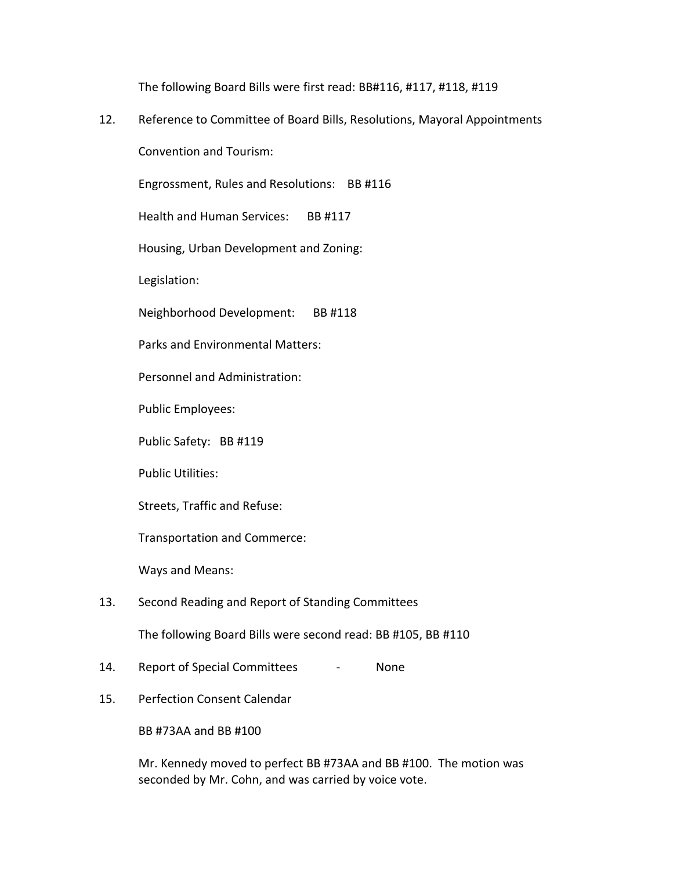The following Board Bills were first read: BB#116, #117, #118, #119

12. Reference to Committee of Board Bills, Resolutions, Mayoral Appointments

Convention and Tourism:

Engrossment, Rules and Resolutions: BB #116

Health and Human Services: BB #117

Housing, Urban Development and Zoning:

Legislation:

Neighborhood Development: BB #118

Parks and Environmental Matters:

Personnel and Administration:

Public Employees:

Public Safety: BB #119

Public Utilities:

Streets, Traffic and Refuse:

Transportation and Commerce:

Ways and Means:

## 13. Second Reading and Report of Standing Committees

The following Board Bills were second read: BB #105, BB #110

- 14. Report of Special Committees None
- 15. Perfection Consent Calendar

BB #73AA and BB #100

Mr. Kennedy moved to perfect BB #73AA and BB #100. The motion was seconded by Mr. Cohn, and was carried by voice vote.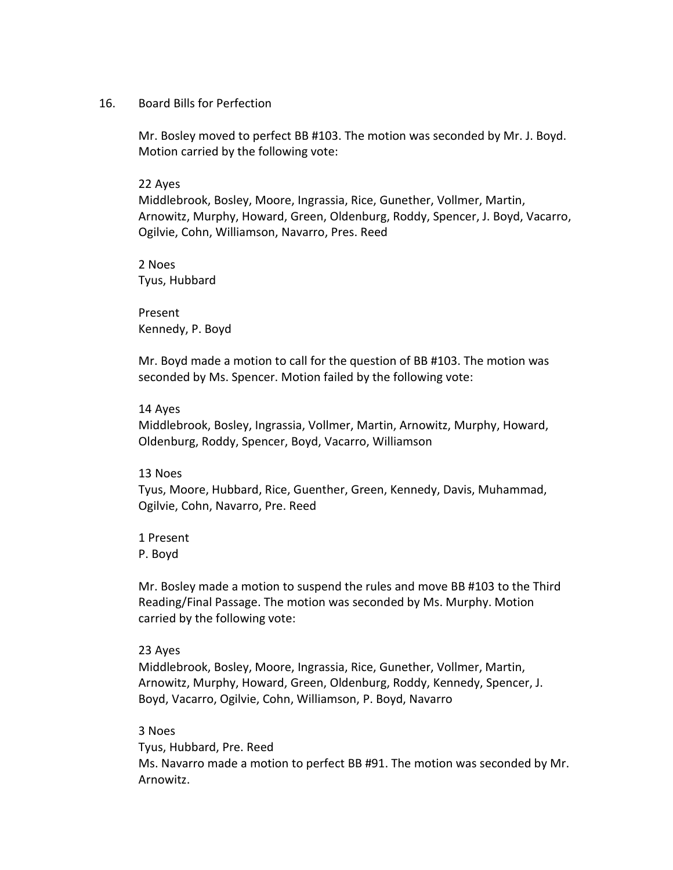### 16. Board Bills for Perfection

Mr. Bosley moved to perfect BB #103. The motion was seconded by Mr. J. Boyd. Motion carried by the following vote:

### 22 Ayes

Middlebrook, Bosley, Moore, Ingrassia, Rice, Gunether, Vollmer, Martin, Arnowitz, Murphy, Howard, Green, Oldenburg, Roddy, Spencer, J. Boyd, Vacarro, Ogilvie, Cohn, Williamson, Navarro, Pres. Reed

2 Noes Tyus, Hubbard

Present Kennedy, P. Boyd

Mr. Boyd made a motion to call for the question of BB #103. The motion was seconded by Ms. Spencer. Motion failed by the following vote:

### 14 Ayes

Middlebrook, Bosley, Ingrassia, Vollmer, Martin, Arnowitz, Murphy, Howard, Oldenburg, Roddy, Spencer, Boyd, Vacarro, Williamson

## 13 Noes

Tyus, Moore, Hubbard, Rice, Guenther, Green, Kennedy, Davis, Muhammad, Ogilvie, Cohn, Navarro, Pre. Reed

1 Present P. Boyd

Mr. Bosley made a motion to suspend the rules and move BB #103 to the Third Reading/Final Passage. The motion was seconded by Ms. Murphy. Motion carried by the following vote:

### 23 Ayes

Middlebrook, Bosley, Moore, Ingrassia, Rice, Gunether, Vollmer, Martin, Arnowitz, Murphy, Howard, Green, Oldenburg, Roddy, Kennedy, Spencer, J. Boyd, Vacarro, Ogilvie, Cohn, Williamson, P. Boyd, Navarro

### 3 Noes

Tyus, Hubbard, Pre. Reed Ms. Navarro made a motion to perfect BB #91. The motion was seconded by Mr. Arnowitz.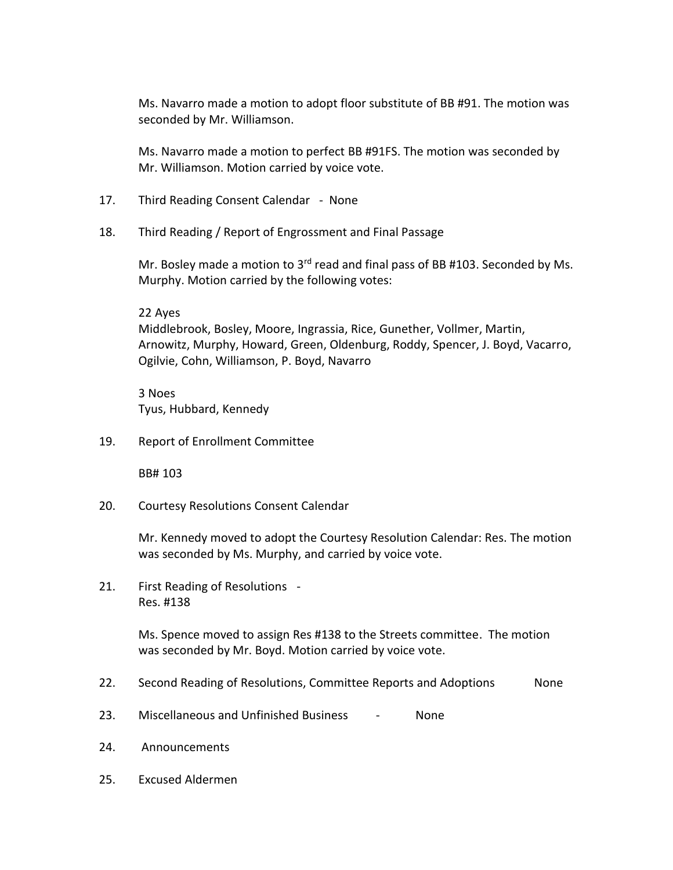Ms. Navarro made a motion to adopt floor substitute of BB #91. The motion was seconded by Mr. Williamson.

Ms. Navarro made a motion to perfect BB #91FS. The motion was seconded by Mr. Williamson. Motion carried by voice vote.

- 17. Third Reading Consent Calendar None
- 18. Third Reading / Report of Engrossment and Final Passage

Mr. Bosley made a motion to  $3^{rd}$  read and final pass of BB #103. Seconded by Ms. Murphy. Motion carried by the following votes:

22 Ayes Middlebrook, Bosley, Moore, Ingrassia, Rice, Gunether, Vollmer, Martin, Arnowitz, Murphy, Howard, Green, Oldenburg, Roddy, Spencer, J. Boyd, Vacarro, Ogilvie, Cohn, Williamson, P. Boyd, Navarro

3 Noes Tyus, Hubbard, Kennedy

19. Report of Enrollment Committee

BB# 103

20. Courtesy Resolutions Consent Calendar

Mr. Kennedy moved to adopt the Courtesy Resolution Calendar: Res. The motion was seconded by Ms. Murphy, and carried by voice vote.

21. First Reading of Resolutions - Res. #138

> Ms. Spence moved to assign Res #138 to the Streets committee. The motion was seconded by Mr. Boyd. Motion carried by voice vote.

- 22. Second Reading of Resolutions, Committee Reports and Adoptions Mone
- 23. Miscellaneous and Unfinished Business None
- 24. Announcements
- 25. Excused Aldermen